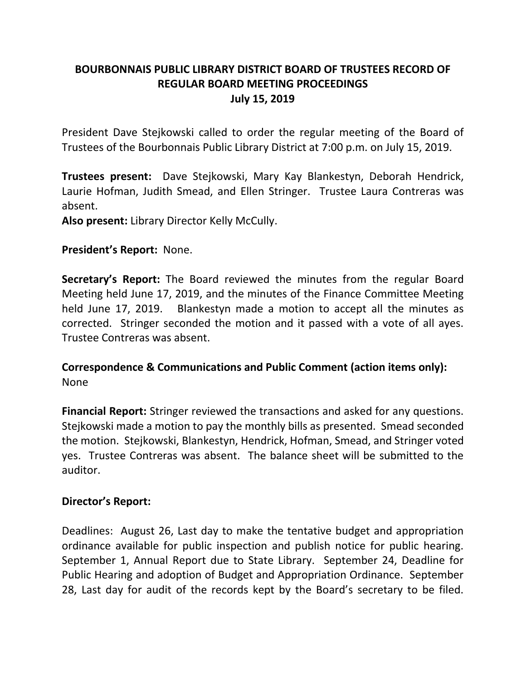# **BOURBONNAIS PUBLIC LIBRARY DISTRICT BOARD OF TRUSTEES RECORD OF REGULAR BOARD MEETING PROCEEDINGS July 15, 2019**

President Dave Stejkowski called to order the regular meeting of the Board of Trustees of the Bourbonnais Public Library District at 7:00 p.m. on July 15, 2019.

**Trustees present:** Dave Stejkowski, Mary Kay Blankestyn, Deborah Hendrick, Laurie Hofman, Judith Smead, and Ellen Stringer. Trustee Laura Contreras was absent.

**Also present:** Library Director Kelly McCully.

## **President's Report:** None.

**Secretary's Report:** The Board reviewed the minutes from the regular Board Meeting held June 17, 2019, and the minutes of the Finance Committee Meeting held June 17, 2019. Blankestyn made a motion to accept all the minutes as corrected. Stringer seconded the motion and it passed with a vote of all ayes. Trustee Contreras was absent.

**Correspondence & Communications and Public Comment (action items only):** None

**Financial Report:** Stringer reviewed the transactions and asked for any questions. Stejkowski made a motion to pay the monthly bills as presented. Smead seconded the motion. Stejkowski, Blankestyn, Hendrick, Hofman, Smead, and Stringer voted yes. Trustee Contreras was absent. The balance sheet will be submitted to the auditor.

### **Director's Report:**

Deadlines: August 26, Last day to make the tentative budget and appropriation ordinance available for public inspection and publish notice for public hearing. September 1, Annual Report due to State Library. September 24, Deadline for Public Hearing and adoption of Budget and Appropriation Ordinance. September 28, Last day for audit of the records kept by the Board's secretary to be filed.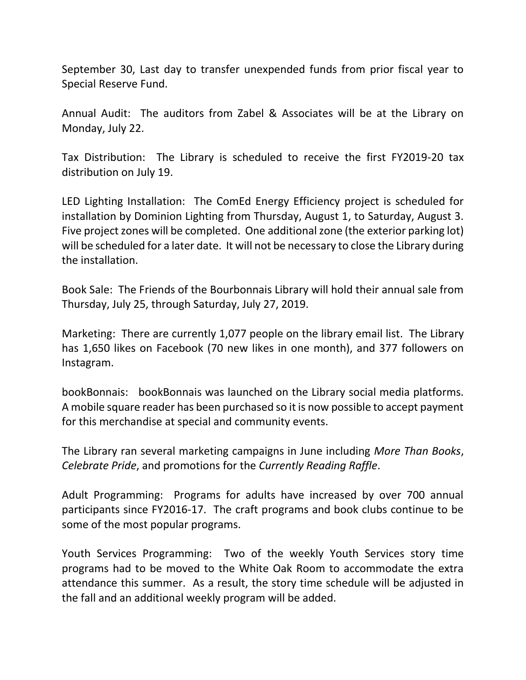September 30, Last day to transfer unexpended funds from prior fiscal year to Special Reserve Fund.

Annual Audit: The auditors from Zabel & Associates will be at the Library on Monday, July 22.

Tax Distribution: The Library is scheduled to receive the first FY2019-20 tax distribution on July 19.

LED Lighting Installation: The ComEd Energy Efficiency project is scheduled for installation by Dominion Lighting from Thursday, August 1, to Saturday, August 3. Five project zones will be completed. One additional zone (the exterior parking lot) will be scheduled for a later date. It will not be necessary to close the Library during the installation.

Book Sale: The Friends of the Bourbonnais Library will hold their annual sale from Thursday, July 25, through Saturday, July 27, 2019.

Marketing: There are currently 1,077 people on the library email list. The Library has 1,650 likes on Facebook (70 new likes in one month), and 377 followers on Instagram.

bookBonnais: bookBonnais was launched on the Library social media platforms. A mobile square reader has been purchased so it is now possible to accept payment for this merchandise at special and community events.

The Library ran several marketing campaigns in June including *More Than Books*, *Celebrate Pride*, and promotions for the *Currently Reading Raffle*.

Adult Programming: Programs for adults have increased by over 700 annual participants since FY2016-17. The craft programs and book clubs continue to be some of the most popular programs.

Youth Services Programming: Two of the weekly Youth Services story time programs had to be moved to the White Oak Room to accommodate the extra attendance this summer. As a result, the story time schedule will be adjusted in the fall and an additional weekly program will be added.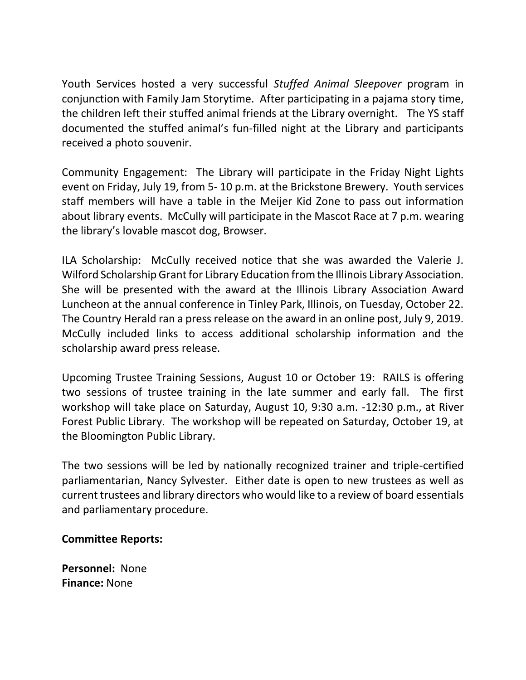Youth Services hosted a very successful *Stuffed Animal Sleepover* program in conjunction with Family Jam Storytime. After participating in a pajama story time, the children left their stuffed animal friends at the Library overnight. The YS staff documented the stuffed animal's fun-filled night at the Library and participants received a photo souvenir.

Community Engagement: The Library will participate in the Friday Night Lights event on Friday, July 19, from 5- 10 p.m. at the Brickstone Brewery. Youth services staff members will have a table in the Meijer Kid Zone to pass out information about library events. McCully will participate in the Mascot Race at 7 p.m. wearing the library's lovable mascot dog, Browser.

ILA Scholarship: McCully received notice that she was awarded the Valerie J. Wilford Scholarship Grant for Library Education from the Illinois Library Association. She will be presented with the award at the Illinois Library Association Award Luncheon at the annual conference in Tinley Park, Illinois, on Tuesday, October 22. The Country Herald ran a press release on the award in an online post, July 9, 2019. McCully included links to access additional scholarship information and the scholarship award press release.

Upcoming Trustee Training Sessions, August 10 or October 19: RAILS is offering two sessions of trustee training in the late summer and early fall. The first workshop will take place on Saturday, August 10, 9:30 a.m. -12:30 p.m., at River Forest Public Library. The workshop will be repeated on Saturday, October 19, at the Bloomington Public Library.

The two sessions will be led by nationally recognized trainer and triple-certified parliamentarian, Nancy Sylvester. Either date is open to new trustees as well as current trustees and library directors who would like to a review of board essentials and parliamentary procedure.

## **Committee Reports:**

**Personnel:** None **Finance:** None